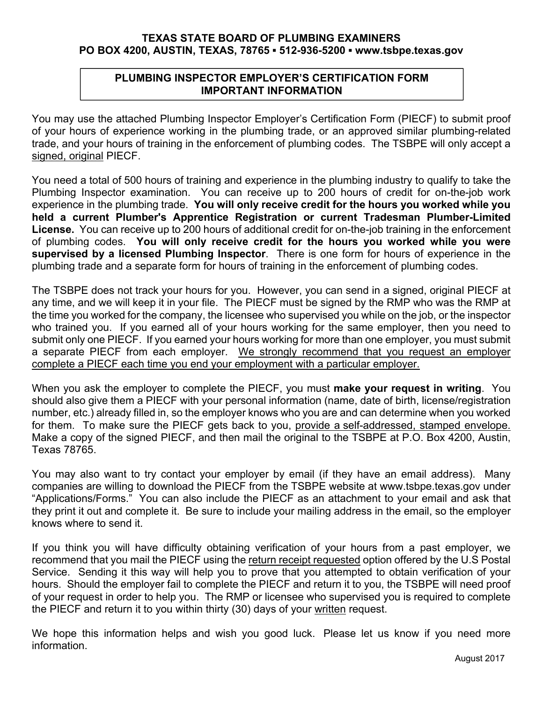# **TEXAS STATE BOARD OF PLUMBING EXAMINERS PO BOX 4200, AUSTIN, TEXAS, 78765 ▪ 512-936-5200 ▪ www.tsbpe.texas.gov**

# **PLUMBING INSPECTOR EMPLOYER'S CERTIFICATION FORM IMPORTANT INFORMATION**

You may use the attached Plumbing Inspector Employer's Certification Form (PIECF) to submit proof of your hours of experience working in the plumbing trade, or an approved similar plumbing-related trade, and your hours of training in the enforcement of plumbing codes. The TSBPE will only accept a signed, original PIECF.

You need a total of 500 hours of training and experience in the plumbing industry to qualify to take the Plumbing Inspector examination. You can receive up to 200 hours of credit for on-the-job work experience in the plumbing trade. **You will only receive credit for the hours you worked while you held a current Plumber's Apprentice Registration or current Tradesman Plumber-Limited License.** You can receive up to 200 hours of additional credit for on-the-job training in the enforcement of plumbing codes. **You will only receive credit for the hours you worked while you were supervised by a licensed Plumbing Inspector**. There is one form for hours of experience in the plumbing trade and a separate form for hours of training in the enforcement of plumbing codes.

The TSBPE does not track your hours for you. However, you can send in a signed, original PIECF at any time, and we will keep it in your file. The PIECF must be signed by the RMP who was the RMP at the time you worked for the company, the licensee who supervised you while on the job, or the inspector who trained you. If you earned all of your hours working for the same employer, then you need to submit only one PIECF. If you earned your hours working for more than one employer, you must submit a separate PIECF from each employer. We strongly recommend that you request an employer complete a PIECF each time you end your employment with a particular employer.

When you ask the employer to complete the PIECF, you must **make your request in writing**. You should also give them a PIECF with your personal information (name, date of birth, license/registration number, etc.) already filled in, so the employer knows who you are and can determine when you worked for them. To make sure the PIECF gets back to you, provide a self-addressed, stamped envelope. Make a copy of the signed PIECF, and then mail the original to the TSBPE at P.O. Box 4200, Austin, Texas 78765.

You may also want to try contact your employer by email (if they have an email address). Many companies are willing to download the PIECF from the TSBPE website at www.tsbpe.texas.gov under "Applications/Forms." You can also include the PIECF as an attachment to your email and ask that they print it out and complete it. Be sure to include your mailing address in the email, so the employer knows where to send it.

If you think you will have difficulty obtaining verification of your hours from a past employer, we recommend that you mail the PIECF using the return receipt requested option offered by the U.S Postal Service. Sending it this way will help you to prove that you attempted to obtain verification of your hours. Should the employer fail to complete the PIECF and return it to you, the TSBPE will need proof of your request in order to help you. The RMP or licensee who supervised you is required to complete the PIECF and return it to you within thirty (30) days of your written request.

We hope this information helps and wish you good luck. Please let us know if you need more information.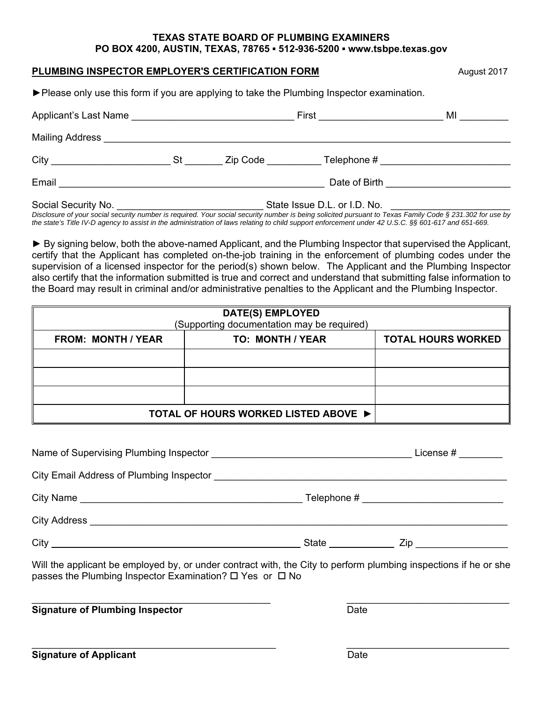### **TEXAS STATE BOARD OF PLUMBING EXAMINERS PO BOX 4200, AUSTIN, TEXAS, 78765 ▪ 512-936-5200 ▪ www.tsbpe.texas.gov**

## **PLUMBING INSPECTOR EMPLOYER'S CERTIFICATION FORM**  400 August 2017

| ▶ Please only use this form if you are applying to take the Plumbing Inspector examination. |  |  |  |
|---------------------------------------------------------------------------------------------|--|--|--|

| Applicant's Last Name |                              | MI<br>First ____________________   |  |
|-----------------------|------------------------------|------------------------------------|--|
|                       |                              |                                    |  |
| $City$ St             |                              | Zip Code Telephone #               |  |
| Email                 |                              | Date of Birth <b>Exercise 2008</b> |  |
| Social Security No.   | State Issue D.L. or I.D. No. |                                    |  |

*Disclosure of your social security number is required. Your social security number is being solicited pursuant to Texas Family Code § 231.302 for use by the state's Title IV-D agency to assist in the administration of laws relating to child support enforcement under 42 U.S.C. §§ 601-617 and 651-669.*

**►** By signing below, both the above-named Applicant, and the Plumbing Inspector that supervised the Applicant, certify that the Applicant has completed on-the-job training in the enforcement of plumbing codes under the supervision of a licensed inspector for the period(s) shown below. The Applicant and the Plumbing Inspector also certify that the information submitted is true and correct and understand that submitting false information to the Board may result in criminal and/or administrative penalties to the Applicant and the Plumbing Inspector.

| DATE(S) EMPLOYED<br>(Supporting documentation may be required) |                  |                           |  |  |
|----------------------------------------------------------------|------------------|---------------------------|--|--|
| <b>FROM: MONTH / YEAR</b>                                      | TO: MONTH / YEAR | <b>TOTAL HOURS WORKED</b> |  |  |
|                                                                |                  |                           |  |  |
|                                                                |                  |                           |  |  |
|                                                                |                  |                           |  |  |
| TOTAL OF HOURS WORKED LISTED ABOVE ▶                           |                  |                           |  |  |

Will the applicant be employed by, or under contract with, the City to perform plumbing inspections if he or she passes the Plumbing Inspector Examination?  $\Box$  Yes or  $\Box$  No

| <b>Signature of Plumbing Inspector</b> | Date |
|----------------------------------------|------|